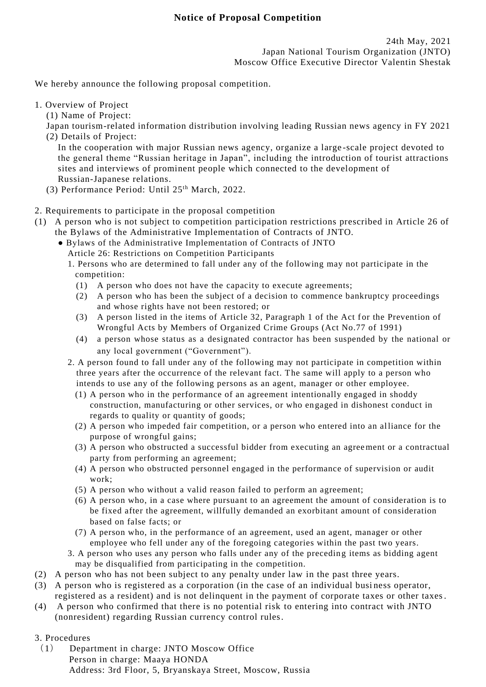## **Notice of Proposal Competition**

We hereby announce the following proposal competition.

## 1. Overview of Project

(1) Name of Project:

Japan tourism-related information distribution involving leading Russian news agency in FY 2021 (2) Details of Project:

In the cooperation with major Russian news agency, organize a large -scale project devoted to the general theme "Russian heritage in Japan", including the introduction of tourist attractions sites and interviews of prominent people which connected to the development of Russian-Japanese relations.

- (3) Performance Period: Until 25th March, 2022.
- 2. Requirements to participate in the proposal competition
- (1) A person who is not subject to competition participation restrictions prescribed in Article 26 of the Bylaws of the Administrative Implementation of Contracts of JNTO.
	- Bylaws of the Administrative Implementation of Contracts of JNTO
		- Article 26: Restrictions on Competition Participants
		- 1. Persons who are determined to fall under any of the following may not participate in the competition:
			- (1) A person who does not have the capacity to execute agreements;
			- (2) A person who has been the subject of a decision to commence bankruptcy proceedings and whose rights have not been restored; or
			- (3) A person listed in the items of Article 32, Paragraph 1 of the Act for the Prevention of Wrongful Acts by Members of Organized Crime Groups (Act No.77 of 1991)
			- (4) a person whose status as a designated contractor has been suspended by the national or any local government ("Government").
		- 2. A person found to fall under any of the following may not participate in competition within three years after the occurrence of the relevant fact. The same will apply to a person who intends to use any of the following persons as an agent, manager or other employee.
			- (1) A person who in the performance of an agreement intentionally engaged in shoddy construction, manufacturing or other services, or who en gaged in dishonest conduct in regards to quality or quantity of goods;
			- (2) A person who impeded fair competition, or a person who entered into an al liance for the purpose of wrongful gains;
			- (3) A person who obstructed a successful bidder from executing an agreement or a contractual party from performing an agreement;
			- (4) A person who obstructed personnel engaged in the performance of supervision or audit work;
			- (5) A person who without a valid reason failed to perform an agreement;
			- (6) A person who, in a case where pursuant to an agreement the amount of consideration is to be fixed after the agreement, willfully demanded an exorbitant amount of consideration based on false facts; or
			- (7) A person who, in the performance of an agreement, used an agent, manager or other employee who fell under any of the foregoing categories within the past two years.
		- 3. A person who uses any person who falls under any of the preceding items as bidding agent may be disqualified from participating in the competition.
- (2) A person who has not been subject to any penalty under law in the past three years.
- (3) A person who is registered as a corporation (in the case of an individual busi ness operator, registered as a resident) and is not delinquent in the payment of corporate taxes or other taxes.
- (4) A person who confirmed that there is no potential risk to entering into contract with JNTO (nonresident) regarding Russian currency control rules.

## 3. Procedures

(1) Department in charge: JNTO Moscow Office Person in charge: Maaya HONDA Address: 3rd Floor, 5, Bryanskaya Street, Moscow, Russia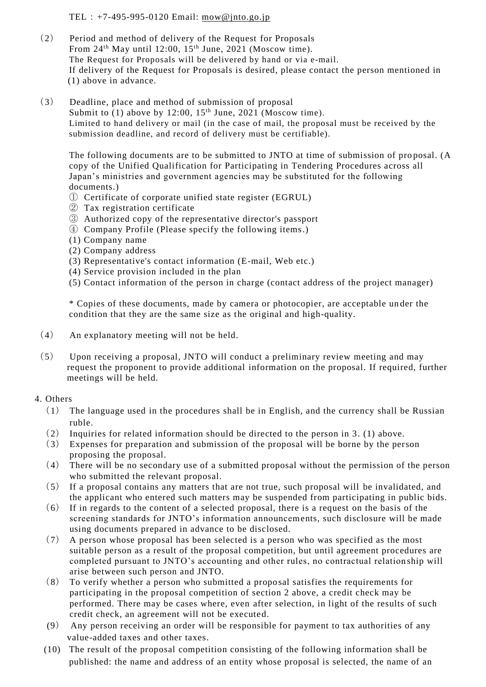TEL:+7-495-995-0120 Email: [mow@jnto.go.jp](mailto:mow@jnto.go.jp)

- (2) Period and method of delivery of the Request for Proposals From 24<sup>th</sup> May until 12:00, 15<sup>th</sup> June, 2021 (Moscow time). The Request for Proposals will be delivered by hand or via e-mail. If delivery of the Request for Proposals is desired, please contact the person mentioned in (1) above in advance.
- (3) Deadline, place and method of submission of proposal Submit to  $(1)$  above by 12:00, 15<sup>th</sup> June, 2021 (Moscow time). Limited to hand delivery or mail (in the case of mail, the proposal must be received by the submission deadline, and record of delivery must be certifiable).

The following documents are to be submitted to JNTO at time of submission of pro posal. (A copy of the Unified Qualification for Participating in Tendering Procedures across all Japan's ministries and government agencies may be substituted for the following documents.)

- ① Certificate of corporate unified state register (EGRUL)
- ② Tax registration certificate
- ③ Authorized copy of the representative director's passport
- ④ Company Profile (Please specify the following items.)
- (1) Company name
- (2) Company address
- (3) Representative's contact information (E-mail, Web etc.)
- (4) Service provision included in the plan
- (5) Contact information of the person in charge (contact address of the project manager)

\* Copies of these documents, made by camera or photocopier, are acceptable un der the condition that they are the same size as the original and high-quality.

- (4) An explanatory meeting will not be held.
- (5) Upon receiving a proposal, JNTO will conduct a preliminary review meeting and may request the proponent to provide additional information on the proposal. If required, further meetings will be held.

## 4. Others

- (1) The language used in the procedures shall be in English, and the currency shall be Russian ruble.
- (2) Inquiries for related information should be directed to the person in 3. (1) above.
- (3) Expenses for preparation and submission of the proposal will be borne by the person proposing the proposal.
- (4) There will be no secondary use of a submitted proposal without the permission of the person who submitted the relevant proposal.
- (5) If a proposal contains any matters that are not true, such proposal will be invalidated, and the applicant who entered such matters may be suspended from participating in public bids.
- $(6)$  If in regards to the content of a selected proposal, there is a request on the basis of the screening standards for JNTO's information announcements, such disclosure will be made using documents prepared in advance to be disclosed.
- (7) A person whose proposal has been selected is a person who was specified as the most suitable person as a result of the proposal competition, but until agreement procedures are completed pursuant to JNTO's accounting and other rules, no contractual relation ship will arise between such person and JNTO.
- (8) To verify whether a person who submitted a proposal satisfies the requirements for participating in the proposal competition of section 2 above, a credit check may be performed. There may be cases where, even after selection, in light of the results of such credit check, an agreement will not be executed.
- (9) Any person receiving an order will be responsible for payment to tax authorities of any value-added taxes and other taxes.
- (10) The result of the proposal competition consisting of the following information shall be published: the name and address of an entity whose proposal is selected, the name of an